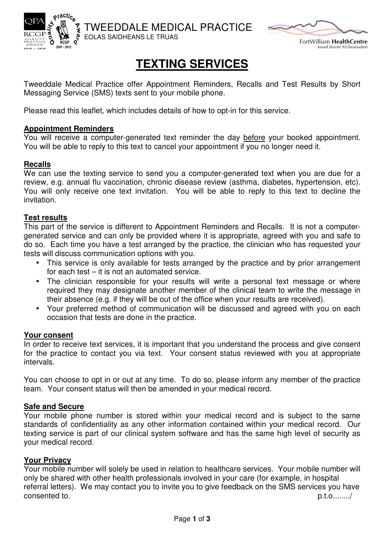



FortWilliam HealthCentre onad Slainte A'Ghearasdain

# **TEXTING SERVICES**

Tweeddale Medical Practice offer Appointment Reminders, Recalls and Test Results by Short Messaging Service (SMS) texts sent to your mobile phone.

Please read this leaflet, which includes details of how to opt-in for this service.

## **Appointment Reminders**

You will receive a computer-generated text reminder the day before your booked appointment. You will be able to reply to this text to cancel your appointment if you no longer need it.

# **Recalls**

We can use the texting service to send you a computer-generated text when you are due for a review, e.g. annual flu vaccination, chronic disease review (asthma, diabetes, hypertension, etc). You will only receive one text invitation. You will be able to reply to this text to decline the invitation.

## **Test results**

This part of the service is different to Appointment Reminders and Recalls. It is not a computergenerated service and can only be provided where it is appropriate, agreed with you and safe to do so. Each time you have a test arranged by the practice, the clinician who has requested your tests will discuss communication options with you.

- This service is only available for tests arranged by the practice and by prior arrangement for each test – it is not an automated service.
- The clinician responsible for your results will write a personal text message or where required they may designate another member of the clinical team to write the message in their absence (e.g. if they will be out of the office when your results are received).
- Your preferred method of communication will be discussed and agreed with you on each occasion that tests are done in the practice.

### **Your consent**

In order to receive text services, it is important that you understand the process and give consent for the practice to contact you via text. Your consent status reviewed with you at appropriate intervals.

You can choose to opt in or out at any time. To do so, please inform any member of the practice team. Your consent status will then be amended in your medical record.

### **Safe and Secure**

Your mobile phone number is stored within your medical record and is subject to the same standards of confidentiality as any other information contained within your medical record. Our texting service is part of our clinical system software and has the same high level of security as your medical record.

### **Your Privacy**

Your mobile number will solely be used in relation to healthcare services. Your mobile number will only be shared with other health professionals involved in your care (for example, in hospital referral letters). We may contact you to invite you to give feedback on the SMS services you have consented to. p.t.o......../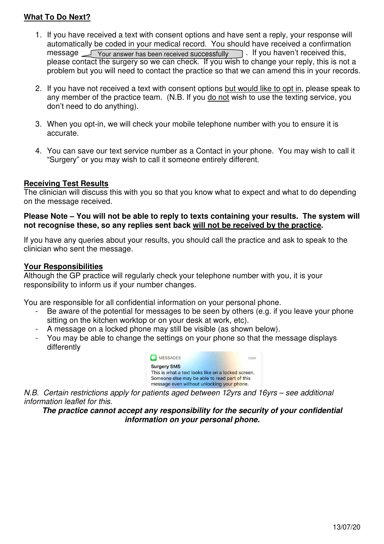# **What To Do Next?**

- 1. If you have received a text with consent options and have sent a reply, your response will automatically be coded in your medical record. You should have received a confirmation automatically be coded in your medical record. You should have received a confirmatior<br>message \_\_\_\_\_Your answer has been received successfully \_\_\_\_\_\_\_\_\_\_\_\_\_\_\_\_\_\_\_\_\_\_\_\_\_ please contact the surgery so we can check. If you wish to change your reply, this is not a problem but you will need to contact the practice so that we can amend this in your records.
- 2. If you have not received a text with consent options **but would like to opt in**, please speak to any member of the practice team. (N.B. If you do not wish to use the texting service, you don't need to do anything).
- 3. When you opt-in, we will check your mobile telephone number with you to ensure it is accurate.
- 4. You can save our text service number as a Contact in your phone. You may wish to call it "Surgery" or you may wish to call it someone entirely different. 4. You can save our text service number as a Contact in your phone. You may wish to call it<br>
"Surgery" or you may wish to call it someone entirely different.<br> **Receiving Test Results**<br>
The clinician will discuss this with

## **Receiving Test Results**

on the message received.

#### Please Note – You will not be able to reply to texts containing your results. The system will **not recognise these, so any replies sent back will not be received by the practice practice.**

If you have any queries about your results, you should call the practice and ask to speak to the clinician who sent the message.

#### **Your Responsibilities**

Although the GP practice will regularly check your telephone number with you, it is your responsibility to inform us if your number changes.

You are responsible for all confidential information on your personal phone.

- Be aware of the potential for messages to be seen by others (e.g. if you leave your phone sitting on the kitchen worktop or on your desk at work, etc). nformation on your personal phone.<br>sages to be seen by others (e.g. if <sub>)</sub><br>on your desk at work, etc).<br>ay still be visible (as shown below).<br>ettings on your phone so that the m
- A message on a locked phone may still be visible (as shown below).
- You may be able to change the settings on your phone so that the message displays differently

| MESSAGES                                           | now |
|----------------------------------------------------|-----|
| <b>Surgery SMS</b>                                 |     |
| This is what a text looks like on a locked screen. |     |
| Someone else may be able to read part of this      |     |
| message even without unlocking your phone.         |     |

N.B. Certain restrictions apply for patients aged between 12yrs and 16yrs – see additional information leaflet for this.

The practice cannot accept any responsibility for the security of your confidential **information on your personal phone.**